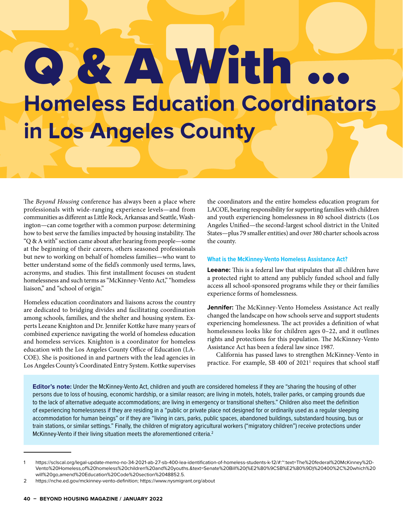# Q & A With ... **Homeless Education Coordinators in Los Angeles County**

The *Beyond Housing* conference has always been a place where professionals with wide-ranging experience levels—and from communities as different as Little Rock, Arkansas and Seattle, Washington—can come together with a common purpose: determining how to best serve the families impacted by housing instability. The "Q & A with" section came about after hearing from people—some at the beginning of their careers, others seasoned professionals but new to working on behalf of homeless families—who want to better understand some of the field's commonly used terms, laws, acronyms, and studies. This first installment focuses on student homelessness and such terms as "McKinney-Vento Act," "homeless liaison," and "school of origin."

Homeless education coordinators and liaisons across the country are dedicated to bridging divides and facilitating coordination among schools, families, and the shelter and housing system. Experts Leeane Knighton and Dr. Jennifer Kottke have many years of combined experience navigating the world of homeless education and homeless services. Knighton is a coordinator for homeless education with the Los Angeles County Office of Education (LA-COE). She is positioned in and partners with the lead agencies in Los Angeles County's Coordinated Entry System. Kottke supervises

the coordinators and the entire homeless education program for LACOE, bearing responsibility for supporting families with children and youth experiencing homelessness in 80 school districts (Los Angeles Unified—the second-largest school district in the United States—plus 79 smaller entities) and over 380 charter schools across the county.

#### **What is the McKinney-Vento Homeless Assistance Act?**

**Leeane:** This is a federal law that stipulates that all children have a protected right to attend any publicly funded school and fully access all school-sponsored programs while they or their families experience forms of homelessness.

**Jennifer:** The McKinney-Vento Homeless Assistance Act really changed the landscape on how schools serve and support students experiencing homelessness. The act provides a definition of what homelessness looks like for children ages 0–22, and it outlines rights and protections for this population. The McKinney-Vento Assistance Act has been a federal law since 1987.

California has passed laws to strengthen McKinney-Vento in practice. For example, SB 400 of 2021<sup>1</sup> requires that school staff

**Editor's note:** Under the McKinney-Vento Act, children and youth are considered homeless if they are "sharing the housing of other persons due to loss of housing, economic hardship, or a similar reason; are living in motels, hotels, trailer parks, or camping grounds due to the lack of alternative adequate accommodations; are living in emergency or transitional shelters." Children also meet the definition of experiencing homelessness if they are residing in a "public or private place not designed for or ordinarily used as a regular sleeping accommodation for human beings" or if they are "living in cars, parks, public spaces, abandoned buildings, substandard housing, bus or train stations, or similar settings." Finally, the children of migratory agricultural workers ("migratory children") receive protections under McKinney-Vento if their living situation meets the aforementioned criteria.<sup>2</sup>

<sup>1</sup> https://sclscal.org/legal-update-memo-no-34-2021-ab-27-sb-400-lea-identification-of-homeless-students-k-12/#:~:text=The%20federal%20McKinney%2D-Vento%20Homeless,of%20homeless%20children%20and%20youths.&text=Senate%20Bill%20(%E2%80%9CSB%E2%80%9D)%20400%2C%20which%20 will%20go,amend%20Education%20Code%20section%2048852.5.

<sup>2</sup> https://nche.ed.gov/mckinney-vento-definition; https://www.nysmigrant.org/about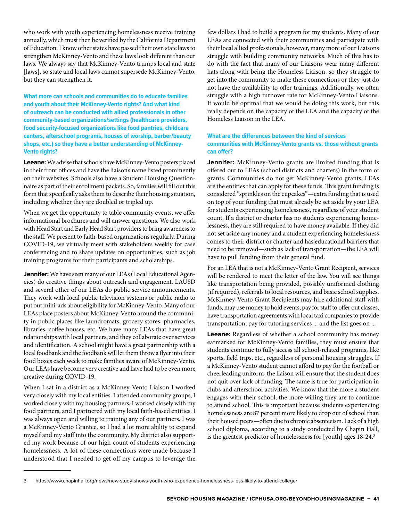who work with youth experiencing homelessness receive training annually, which must then be verified by the California Department of Education. I know other states have passed their own state laws to strengthen McKinney-Vento and these laws look different than our laws. We always say that McKinney-Vento trumps local and state [laws], so state and local laws cannot supersede McKinney-Vento, but they can strengthen it.

**What more can schools and communities do to educate families and youth about their McKinney-Vento rights? And what kind of outreach can be conducted with allied professionals in other community-based organizations/settings (healthcare providers, food security-focused organizations like food pantries, childcare centers, afterschool programs, houses of worship, barber/beauty shops, etc.) so they have a better understanding of McKinney-Vento rights?**

**Leeane:** We advise that schools have McKinney-Vento posters placed in their front offices and have the liaison's name listed prominently on their websites. Schools also have a Student Housing Questionnaire as part of their enrollment packets. So, families will fill out this form that specifically asks them to describe their housing situation, including whether they are doubled or tripled up.

When we get the opportunity to table community events, we offer informational brochures and will answer questions. We also work with Head Start and Early Head Start providers to bring awareness to the staff. We present to faith-based organizations regularly. During COVID-19, we virtually meet with stakeholders weekly for case conferencing and to share updates on opportunities, such as job training programs for their participants and scholarships.

**Jennifer:** We have seen many of our LEAs (Local Educational Agencies) do creative things about outreach and engagement. LAUSD and several other of our LEAs do public service announcements. They work with local public television systems or public radio to put out mini-ads about eligibility for McKinney-Vento. Many of our LEAs place posters about McKinney-Vento around the community in public places like laundromats, grocery stores, pharmacies, libraries, coffee houses, etc. We have many LEAs that have great relationships with local partners, and they collaborate over services and identification. A school might have a great partnership with a local foodbank and the foodbank will let them throw a flyer into their food boxes each week to make families aware of McKinney-Vento. Our LEAs have become very creative and have had to be even more creative during COVID-19.

When I sat in a district as a McKinney-Vento Liaison I worked very closely with my local entities. I attended community groups, I worked closely with my housing partners, I worked closely with my food partners, and I partnered with my local faith-based entities. I was always open and willing to training any of our partners. I was a McKinney-Vento Grantee, so I had a lot more ability to expand myself and my staff into the community. My district also supported my work because of our high count of students experiencing homelessness. A lot of these connections were made because I understood that I needed to get off my campus to leverage the

few dollars I had to build a program for my students. Many of our LEAs are connected with their communities and participate with their local allied professionals, however, many more of our Liaisons struggle with building community networks. Much of this has to do with the fact that many of our Liaisons wear many different hats along with being the Homeless Liaison, so they struggle to get into the community to make these connections or they just do not have the availability to offer trainings. Additionally, we often struggle with a high turnover rate for McKinney-Vento Liaisons. It would be optimal that we would be doing this work, but this really depends on the capacity of the LEA and the capacity of the Homeless Liaison in the LEA.

### **What are the differences between the kind of services communities with McKinney-Vento grants vs. those without grants can offer?**

**Jennifer:** McKinney-Vento grants are limited funding that is offered out to LEAs (school districts and charters) in the form of grants. Communities do not get McKinney-Vento grants; LEAs are the entities that can apply for these funds. This grant funding is considered "sprinkles on the cupcakes"—extra funding that is used on top of your funding that must already be set aside by your LEA for students experiencing homelessness, regardless of your student count. If a district or charter has no students experiencing homelessness, they are still required to have money available. If they did not set aside any money and a student experiencing homelessness comes to their district or charter and has educational barriers that need to be removed—such as lack of transportation—the LEA will have to pull funding from their general fund.

For an LEA that is not a McKinney-Vento Grant Recipient, services will be rendered to meet the letter of the law. You will see things like transportation being provided, possibly uniformed clothing (if required), referrals to local resources, and basic school supplies. McKinney-Vento Grant Recipients may hire additional staff with funds, may use money to hold events, pay for staff to offer out classes, have transportation agreements with local taxi companies to provide transportation, pay for tutoring services ... and the list goes on ...

**Leeane:** Regardless of whether a school community has money earmarked for McKinney-Vento families, they must ensure that students continue to fully access all school-related programs, like sports, field trips, etc., regardless of personal housing struggles. If a McKinney-Vento student cannot afford to pay for the football or cheerleading uniform, the liaison will ensure that the student does not quit over lack of funding. The same is true for participation in clubs and afterschool activities. We know that the more a student engages with their school, the more willing they are to continue to attend school. This is important because students experiencing homelessness are 87 percent more likely to drop out of school than their housed peers—often due to chronic absenteeism. Lack of a high school diploma, according to a study conducted by Chapin Hall, is the greatest predictor of homelessness for [youth] ages 18-24.3

<sup>3</sup> https://www.chapinhall.org/news/new-study-shows-youth-who-experience-homelessness-less-likely-to-attend-college/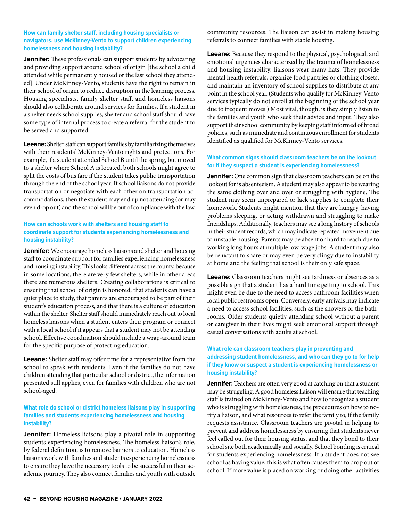#### **How can family shelter staff, including housing specialists or navigators, use McKinney-Vento to support children experiencing homelessness and housing instability?**

**Jennifer:** These professionals can support students by advocating and providing support around school of origin [the school a child attended while permanently housed or the last school they attended]. Under McKinney-Vento, students have the right to remain in their school of origin to reduce disruption in the learning process. Housing specialists, family shelter staff, and homeless liaisons should also collaborate around services for families. If a student in a shelter needs school supplies, shelter and school staff should have some type of internal process to create a referral for the student to be served and supported.

**Leeane:** Shelter staff can support families by familiarizing themselves with their residents' McKinney-Vento rights and protections. For example, if a student attended School B until the spring, but moved to a shelter where School A is located, both schools might agree to split the costs of bus fare if the student takes public transportation through the end of the school year. If school liaisons do not provide transportation or negotiate with each other on transportation accommodations, then the student may end up not attending (or may even drop out) and the school will be out of compliance with the law.

#### **How can schools work with shelters and housing staff to coordinate support for students experiencing homelessness and housing instability?**

**Jennifer:** We encourage homeless liaisons and shelter and housing staff to coordinate support for families experiencing homelessness and housing instability. This looks different across the county, because in some locations, there are very few shelters, while in other areas there are numerous shelters. Creating collaborations is critical to ensuring that school of origin is honored, that students can have a quiet place to study, that parents are encouraged to be part of their student's education process, and that there is a culture of education within the shelter. Shelter staff should immediately reach out to local homeless liaisons when a student enters their program or connect with a local school if it appears that a student may not be attending school. Effective coordination should include a wrap-around team for the specific purpose of protecting education.

**Leeane:** Shelter staff may offer time for a representative from the school to speak with residents. Even if the families do not have children attending that particular school or district, the information presented still applies, even for families with children who are not school-aged.

#### **What role do school or district homeless liaisons play in supporting families and students experiencing homelessness and housing instability?**

**Jennifer:** Homeless liaisons play a pivotal role in supporting students experiencing homelessness. The homeless liaison's role, by federal definition, is to remove barriers to education. Homeless liaisons work with families and students experiencing homelessness to ensure they have the necessary tools to be successful in their academic journey. They also connect families and youth with outside

community resources. The liaison can assist in making housing referrals to connect families with stable housing.

**Leeane:** Because they respond to the physical, psychological, and emotional urgencies characterized by the trauma of homelessness and housing instability, liaisons wear many hats. They provide mental health referrals, organize food pantries or clothing closets, and maintain an inventory of school supplies to distribute at any point in the school year. (Students who qualify for McKinney-Vento services typically do not enroll at the beginning of the school year due to frequent moves.) Most vital, though, is they simply listen to the families and youth who seek their advice and input. They also support their school community by keeping staff informed of broad policies, such as immediate and continuous enrollment for students identified as qualified for McKinney-Vento services.

### **What common signs should classroom teachers be on the lookout for if they suspect a student is experiencing homelessness?**

**Jennifer:** One common sign that classroom teachers can be on the lookout for is absenteeism. A student may also appear to be wearing the same clothing over and over or struggling with hygiene. The student may seem unprepared or lack supplies to complete their homework. Students might mention that they are hungry, having problems sleeping, or acting withdrawn and struggling to make friendships. Additionally, teachers may see a long history of schools in their student records, which may indicate repeated movement due to unstable housing. Parents may be absent or hard to reach due to working long hours at multiple low-wage jobs. A student may also be reluctant to share or may even be very clingy due to instability at home and the feeling that school is their only safe space.

**Leeane:** Classroom teachers might see tardiness or absences as a possible sign that a student has a hard time getting to school. This might even be due to the need to access bathroom facilities when local public restrooms open. Conversely, early arrivals may indicate a need to access school facilities, such as the showers or the bathrooms. Older students quietly attending school without a parent or caregiver in their lives might seek emotional support through casual conversations with adults at school.

### **What role can classroom teachers play in preventing and addressing student homelessness, and who can they go to for help if they know or suspect a student is experiencing homelessness or housing instability?**

**Jennifer:** Teachers are often very good at catching on that a student may be struggling. A good homeless liaison will ensure that teaching staff is trained on McKinney-Vento and how to recognize a student who is struggling with homelessness, the procedures on how to notify a liaison, and what resources to refer the family to, if the family requests assistance. Classroom teachers are pivotal in helping to prevent and address homelessness by ensuring that students never feel called out for their housing status, and that they bond to their school site both academically and socially. School bonding is critical for students experiencing homelessness. If a student does not see school as having value, this is what often causes them to drop out of school. If more value is placed on working or doing other activities